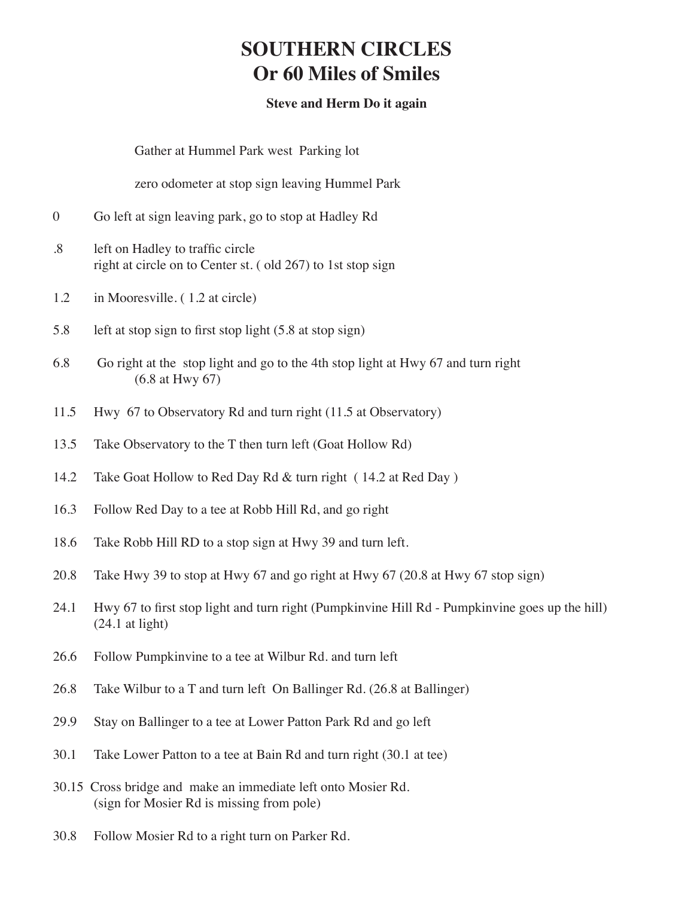## **SOUTHERN CIRCLES Or 60 Miles of Smiles**

## **Steve and Herm Do it again**

 Gather at Hummel Park west Parking lot

 zero odometer at stop sign leaving Hummel Park

- 0 Go left at sign leaving park, go to stop at Hadley Rd
- .8 left on Hadley to traffic circle right at circle on to Center st. ( old 267) to 1st stop sign
- 1.2 in Mooresville. (1.2 at circle)
- 5.8 left at stop sign to first stop light (5.8 at stop sign)
- 6.8 Go right at the stop light and go to the 4th stop light at Hwy 67 and turn right (6.8 at Hwy 67)
- 11.5 Hwy 67 to Observatory Rd and turn right (11.5 at Observatory)
- 13.5 Take Observatory to the T then turn left (Goat Hollow Rd)
- 14.2 Take Goat Hollow to Red Day Rd & turn right (14.2 at Red Day)
- 16.3 Follow Red Day to a tee at Robb Hill Rd, and go right
- 18.6 Take Robb Hill RD to a stop sign at Hwy 39 and turn left.
- 20.8 Take Hwy 39 to stop at Hwy 67 and go right at Hwy 67 (20.8 at Hwy 67 stop sign)
- 24.1 Hwy 67 to first stop light and turn right (Pumpkinvine Hill Rd Pumpkinvine goes up the hill) (24.1 at light)
- 26.6 Follow Pumpkinvine to a tee at Wilbur Rd. and turn left
- 26.8 Take Wilbur to a T and turn left On Ballinger Rd. (26.8 at Ballinger)
- 29.9 Stay on Ballinger to a tee at Lower Patton Park Rd and go left
- 30.1 Take Lower Patton to a tee at Bain Rd and turn right (30.1 at tee)
- 30.15 Cross bridge and make an immediate left onto Mosier Rd. (sign for Mosier Rd is missing from pole)
- 30.8 Follow Mosier Rd to a right turn on Parker Rd.